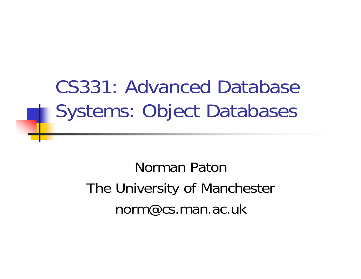CS331: Advanced Database Systems: Object Databases

> Norman PatonThe University of Manchester norm@cs.man.ac.uk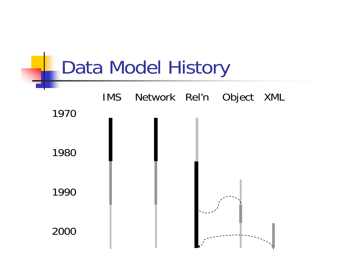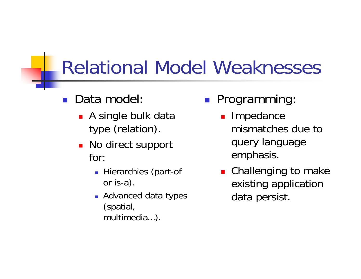#### Relational Model Weaknesses

#### F Data model:

- **A** single bulk data type (relation).
- No direct support for:
	- **Hierarchies (part-of** or is-a).
	- **Advanced data types** (spatial, multimedia…).
- $\left\vert \psi_{\pm}\right\rangle$  Programming:
	- **Impedance** mismatches due to query language emphasis.
	- **Example 10 contact Challenging to make** existing application data persist.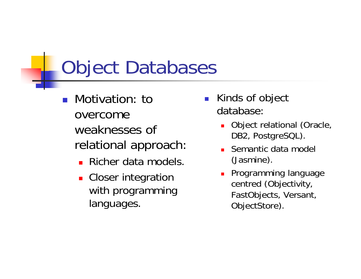#### Object Databases

- F Motivation: to overcome weaknesses of relational approach:
	- **Richer data models.**
	- **Closer integration** with programming languages.
- $\overline{\phantom{a}}$  Kinds of object database:
	- ▉ Object relational (Oracle, DB2, PostgreSQL).
	- П Semantic data model (Jasmine).
	- П Programming language centred (Objectivity, FastObjects, Versant, ObjectStore).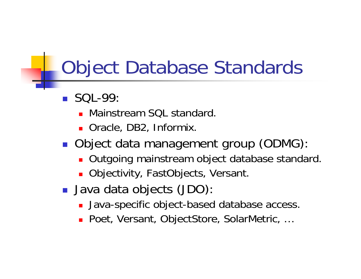#### Object Database Standards

- $\blacksquare$  SQL-99
	- **Nainstream SQL standard.**
	- Oracle, DB2, Informix.
- **Object data management group (ODMG)** 
	- **Dutgoing mainstream object database standard.**
	- Objectivity, FastObjects, Versant.
- **Java data objects (JDO)** 
	- **Java-specific object-based database access.**
	- Poet, Versant, ObjectStore, SolarMetric, ...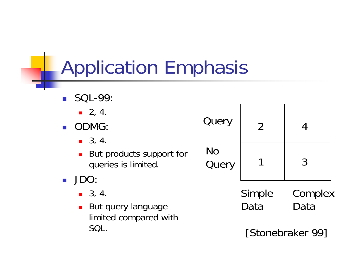#### Application Emphasis

 $\sim$  SQL-99:  $-2, 4$ ■ ODMG  $-3, 4$ **But products support for** queries is limited. JDO:  $-3, 4$  $\blacksquare$  But query language limited compared with SQL. **Query** No**Query** Simple DataComplex Data1234[Stonebraker 99]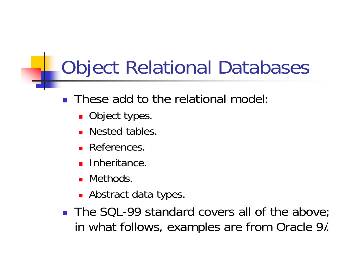#### Object Relational Databases

- F These add to the relational model:
	- **Object types**
	- **Nested tables**
	- **References**
	- П Inheritance.
	- **.** Methods.
	- **Abstract data types**
- The SQL-99 standard covers all of the above; in what follows, examples are from Oracle 9*i*.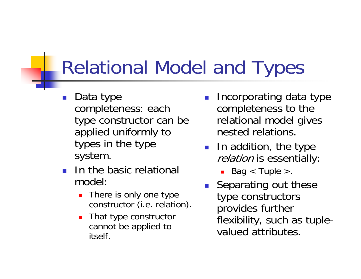#### Relational Model and Types

- $\overline{\phantom{a}}$  Data type completeness: each type constructor can be applied uniformly to types in the type system.
- In the basic relational model:
	- П There is only one type constructor (i.e. relation).
	- $\blacksquare$  That type constructor cannot be applied to itself.
- $\overline{\phantom{a}}$  Incorporating data type completeness to the relational model gives nested relations.
- **ID** addition, the type relation is essentially
	- $\blacksquare$  Bag  $<$  Tuple  $>$
- **Separating out these** type constructors provides further flexibility, such as tuplevalued attributes.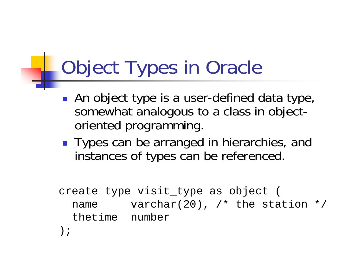#### **Cobject Types in Oracle**

- **An object type is a user-defined data type,** somewhat analogous to a class in objectoriented programming.
- Types can be arranged in hierarchies, and instances of types can be referenced.

```
create type visit_type as object (
 name varchar(20), /* the station */thetime number);
```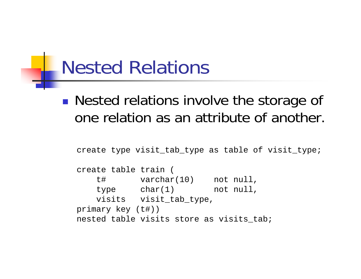#### Nested Relations

#### $\mathbb{R}^3$ **Nested relations involve the storage of** one relation as an attribute of another.

```
create type visit_tab_type as table of visit_type;
create table train (
   t# varchar(10) not null,
   type char(1) not null,
   visits visit_tab_type,
primary key (t#))
nested table visits store as visits tab;
```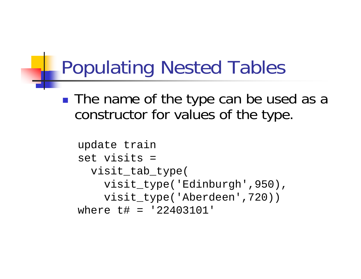#### Populating Nested Tables

 $\mathbb{R}^n$ ■ The name of the type can be used as a constructor for values of the type.

```
update train 
set visits = visit_tab_type(
    visit_type('Edinburgh',950),
    visit_type('Aberdeen',720)) 
where t# = '22403101'
```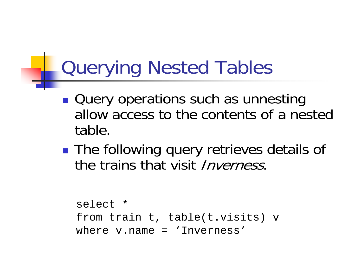#### Querying Nested Tables

- $\mathbb{R}^n$ **Query operations such as unnesting** allow access to the contents of a nested table.
- $\mathbb{R}^3$ **The following query retrieves details of** the trains that visit Inverness.

```
select *from train t, table(t.visits) v
where v.name = 'Inverness'
```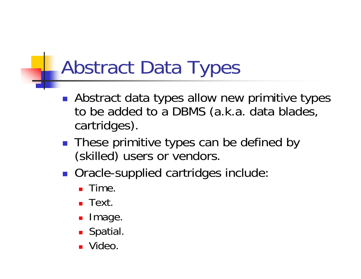#### Abstract Data Types

- **Abstract data types allow new primitive types** to be added to a DBMS (a.k.a. data blades, cartridges).
- These primitive types can be defined by (skilled) users or vendors.
- **Oracle-supplied cartridges include** 
	- **E** Time
	- $\blacksquare$  Text.
	- **Image**
	- **Spatial**
	- Video.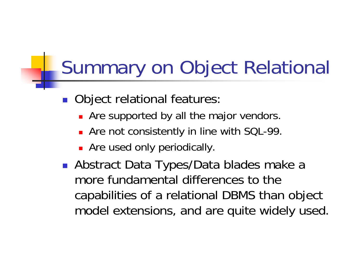#### Summary on Object Relational

- **Object relational features** 
	- **Are supported by all the major vendors.**
	- **Are not consistently in line with SQL-99.**
	- **Are used only periodically.**
- Abstract Data Types/Data blades make a more fundamental differences to the capabilities of a relational DBMS than object model extensions, and are quite widely used.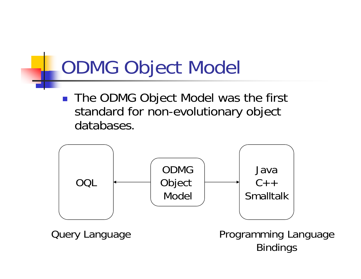#### ODMG Object Model

 $\mathcal{L}_{\mathcal{A}}$  The ODMG Object Model was the first standard for non-evolutionary object databases.

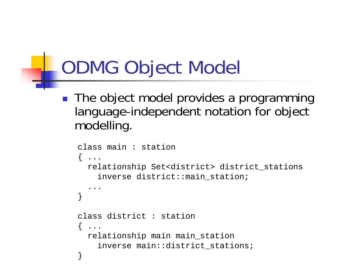#### ODMG Object Model

 $\mathbb{R}^2$  The object model provides a programming language-independent notation for object modelling.

```
class main : station{ ...
  relationship Set<district> district_stations
    inverse district::main_station;
  ...}
class district : station. . .
  relationship main main_station
    inverse main::district_stations;
}
```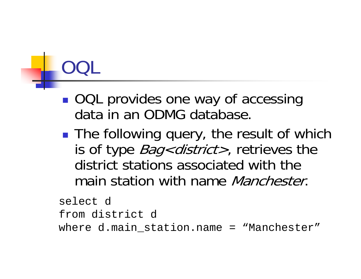# OQL

- $\mathbb{R}^n$ ■ OQL provides one way of accessing data in an ODMG database.
- $\mathbb{R}^3$ **The following query, the result of which** is of type *Bag<district>*, retrieves the district stations associated with the main station with name *Manchester*.

```
select d from district dwhere d.main_station.name = "Manchester"
```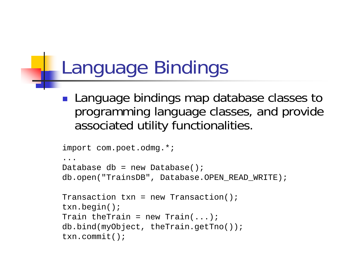#### Language Bindings

**Language bindings map database classes to** programming language classes, and provide associated utility functionalities.

```
import com.poet.odmg.*;
...Database db = new Database();
db.open("TrainsDB", Database.OPEN_READ_WRITE);
Transaction \tan = new Transaction();
txn.begin();
Train theTrain = new Train(...,:);
db.bind(myObject, theTrain.getTno());
txn.commit();
```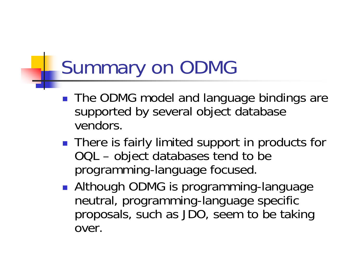#### Summary on ODMG

- The ODMG model and language bindings are supported by several object database vendors.
- There is fairly limited support in products for OQL – object databases tend to be programming-language focused.
- **Although ODMG is programming-language** neutral, programming-language specific proposals, such as JDO, seem to be taking over.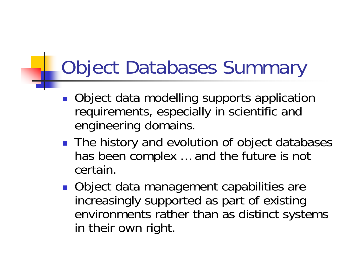#### **L** Object Databases Summary

- **Object data modelling supports application** requirements, especially in scientific and engineering domains.
- The history and evolution of object databases has been complex … and the future is not certain.
- Object data management capabilities are increasingly supported as part of existing environments rather than as distinct systems in their own right.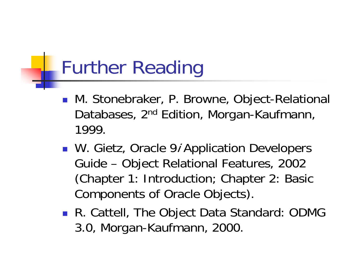#### Further Reading

- M. Stonebraker, P. Browne, Object-Relational Databases, 2<sup>nd</sup> Edition, Morgan-Kaufmann, 1999.
- **N.** Gietz, Oracle 9*i* Application Developers Guide – Object Relational Features, 2002 (Chapter 1: Introduction; Chapter 2: Basic Components of Oracle Objects).
- R. Cattell, The Object Data Standard: ODMG 3.0, Morgan-Kaufmann, 2000.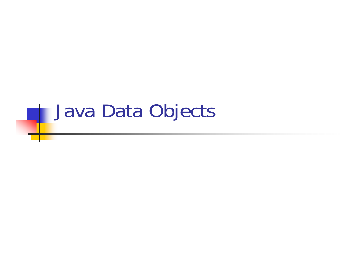## **Lava Data Objects**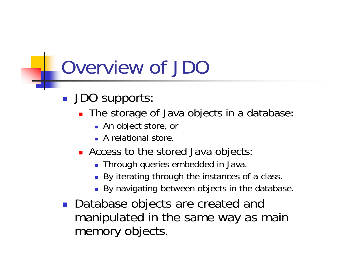#### Overview of JDC

- **JDO supports** 
	- **The storage of Java objects in a database** 
		- An object store, or
		- A relational store.
	- **Access to the stored Java objects** 
		- Through queries embedded in Java.
		- By iterating through the instances of a class.
		- By navigating between objects in the database.
- Database objects are created and manipulated in the same way as main memory objects.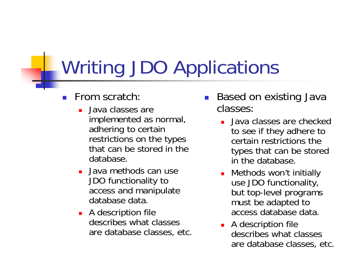#### Writing JDO Applications

- $\overline{\phantom{a}}$  From scratch:
	- П Java classes are implemented as normal, adhering to certain restrictions on the types that can be stored in the database.
	- ▉ Java methods can use JDO functionality to access and manipulate database data.
	- **A** description file describes what classes are database classes, etc.
- $\overline{\phantom{a}}$  Based on existing Java classes:
	- П Java classes are checked to see if they adhere to certain restrictions the types that can be stored in the database.
	- П Methods won't initially use JDO functionality, but top-level programs must be adapted to access database data.
	- **A** description file describes what classes are database classes, etc.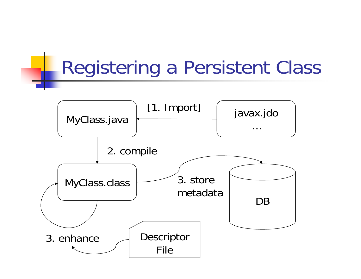#### Registering a Persistent Class

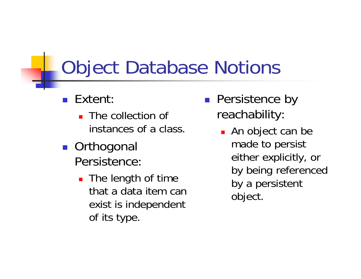#### Object Database Notions

- F Extent:
	- **The collection of** instances of a class.
- Orthogonal Persistence:
	- The length of time that a data item can exist is independent of its type.
- $\mathcal{L}^{\text{max}}_{\text{max}}$  Persistence by reachability:
	- An object can be made to persist either explicitly, or by being referenced by a persistent object.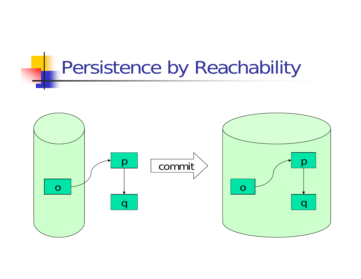#### Persistence by Reachability

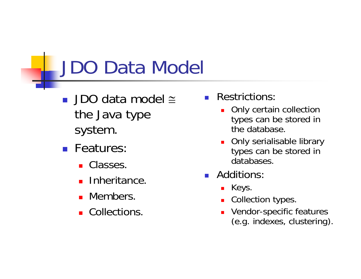#### JDO Data Model

- JDO data model ≅ the Java type system.
- **Features** 
	- Classes
	- **Inheritance**
	- **Members**
	- **Collections**.
- $\overline{\phantom{a}}$  Restrictions:
	- П Only certain collection types can be stored in the database.
	- ▉ Only serialisable library types can be stored in databases.
- $\overline{\phantom{a}}$  Additions:
	- $\blacksquare$  Keys.
	- П Collection types.
	- П Vendor-specific features (e.g. indexes, clustering).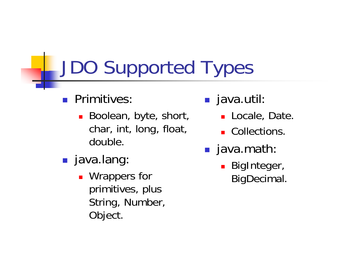### JDO Supported Types

- **Primitives** 
	- Boolean, byte, short, char, int, long, float, double.
- **Java.lang** 
	- **Nice** Wrappers for primitives, plus String, Number, Object.
- java.util
	- Locale, Date.
	- **Collections**
- **g** java.math
	- **BigInteger,** BigDecimal.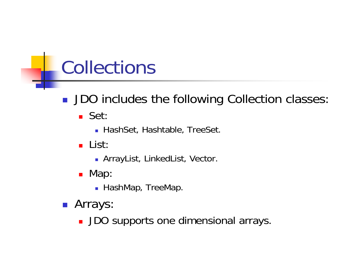#### Collections

- **JDO** includes the following Collection classes
	- Set
		- HashSet, Hashtable, TreeSet.
	- **L**ist:
		- ArrayList, LinkedList, Vector.
	- Map
		- $\blacksquare$  HashMap, TreeMap.
- **Arrays:** 
	- **JDO supports one dimensional arrays**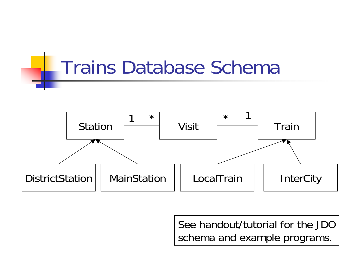

See handout/tutorial for the JDO schema and example programs.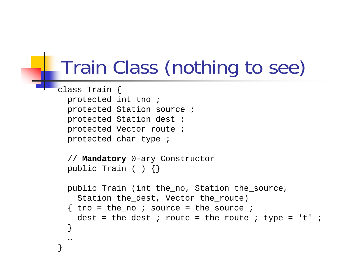#### Train Class (nothing to see)

```
class Train {
 protected int tno ;
 protected Station source ;
 protected Station dest ;
 protected Vector route ;
 protected char type ;
  // Mandatory 0-ary Constructor
 public Train ( ) {}
 public Train (int the_no, Station the_source, 
    Station the dest, Vector the route)
  \{ tno = the no ; source = the source ;
   dest = the dest ; route = the route ; type = 't' ;
  }
```
…

}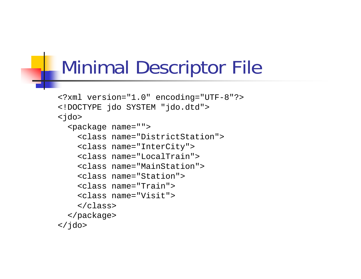#### Minimal Descriptor File

```
<?xml version="1.0" encoding="UTF-8"?>
<!DOCTYPE jdo SYSTEM "jdo.dtd">
<jdo>
  <package name="">
    <class name="DistrictStation"><class name="InterCity">
    <class name="LocalTrain"><class name="MainStation"><class name="Station"><class name="Train"><class name="Visit"></class>
  </package>
\langle / \frac{1}{d}
```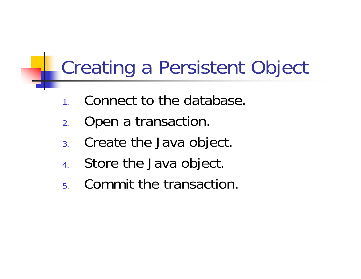#### Creating a Persistent Object

- 1.Connect to the database.
- 2.Open a transaction.
- 3.Create the Java object.
- 4.Store the Java object.
- 5.Commit the transaction.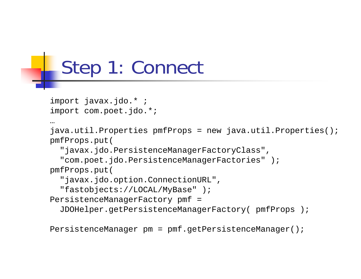#### Step 1: Connect

```
import javax.jdo.* ;
import com.poet.jdo.*;
```
…

```
java.util.Properties pmfProps = new java.util.Properties();
pmfProps.put(
```
"javax.jdo.PersistenceManagerFactoryClass",

"com.poet.jdo.PersistenceManagerFactories" );

pmfProps.put(

```
"javax.jdo.option.ConnectionURL",
```

```
"fastobjects://LOCAL/MyBase" );
```

```
PersistenceManagerFactory pmf =
```

```
JDOHelper.getPersistenceManagerFactory( pmfProps );
```

```
PersistenceManager pm = pmf.getPersistenceManager();
```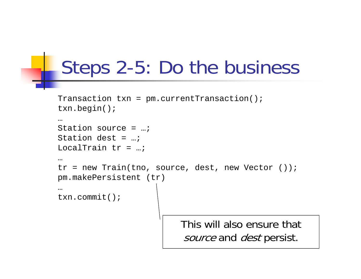#### Steps 2-5: Do the business

```
Transaction txn = pm.currentTransaction();
txn.begin();
…Station source = …;Station dest = ...;
LocalTrain tr = ...;
…tr = new Train(tno, source, dest, new Vector ());
pm.makePersistent (tr)
…txn.commit();
                          This will also ensure that source and dest persist.
```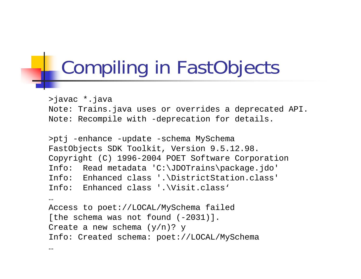## Compiling in FastObjects

>javac \*.java

```
Note: Trains.java uses or overrides a deprecated API.
Note: Recompile with -deprecation for details.
```

```
>ptj -enhance -update -schema MySchema
FastObjects SDK Toolkit, Version 9.5.12.98.
Copyright (C) 1996-2004 POET Software Corporation
Info: Read metadata 'C:\JDOTrains\package.jdo'
Info: Enhanced class '.\DistrictStation.class'
Info: Enhanced class '.\Visit.class'
…Access to poet://LOCAL/MySchema failed 
[the schema was not found (-2031)].
Create a new schema (y/n)? y
Info: Created schema: poet://LOCAL/MySchema
…
```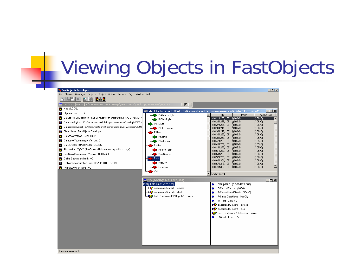## **Wiewing Objects in FastObjects**

| FastObjects Developer                                                          |                                                                            | $\Box$ el $\times$                                                                                                                                                                    |
|--------------------------------------------------------------------------------|----------------------------------------------------------------------------|---------------------------------------------------------------------------------------------------------------------------------------------------------------------------------------|
| File Classes Messages Objects Project Builder Options OQL Window Help          |                                                                            |                                                                                                                                                                                       |
| BJ-5<br>西川<br>×                                                                |                                                                            |                                                                                                                                                                                       |
| Database [LOCAL]: C:\Documents and Settings\norm.mucs\Desktop\JDOTrains\MyBase | $ \Box$ $\times$                                                           |                                                                                                                                                                                       |
| Host: LOCAL<br>z                                                               |                                                                            |                                                                                                                                                                                       |
| Physical Host: LOCAL<br>z                                                      | <b>D</b> PtAttributeRight                                                  | Extent Explorer on [[LOCAL]: C:\Documents and Settings\norm.mucs\Desktop\JDOTrains\MyB $\fbox{$\blacksquare$}$ $\blacksquare$ $\blacksquare$<br><b>OID</b><br>ClassId<br>LocalClassId |
| Database : C:\Documents and Settings\norm.mucs\Desktop\JD0Trains\MyE<br>z      | PtClassRight                                                               | $[0:0-21#223, 106]$<br>(106v0)<br>(106v0)                                                                                                                                             |
| Database[logical]: C:\Documents and Settings\norm.mucs\Desktop\JDOTra<br>z     | PtStorage                                                                  | [0:0.24#229, 106]<br>(106v0)<br>:(106v0)                                                                                                                                              |
| Database(physical) : C:\Documents and Settings\norm.mucs\Desktop\JD0T<br>z     | <b>PtOLEStorage</b>                                                        | $(0.0-27#235, 106)$<br>(106v0)<br>(106v0)<br>$(0.0-30#241, 106)$<br>(106v0)<br>(106v0)                                                                                                |
| Client Name : FastObjects Developer<br>z                                       | PtUser                                                                     | (106v0)<br>(106v0)<br>(0:0-33#247, 106)                                                                                                                                               |
| z<br>Database Version : 2324 (0x914)                                           | PtGroup                                                                    | (106v0)<br>$(0.0-36#253, 106)$<br>;(106v0)                                                                                                                                            |
| Database Typemanager Version : 5<br>z                                          | PtIndividual                                                               | (0:0.39#259, 105)<br>(105v0)<br>(105v0)<br>(0:0.42#265, 105)<br>(105v0)<br>(105v0)                                                                                                    |
| Date Created : 07/18/2004 13:23:06<br>z                                        | Station                                                                    | (105v0)<br>(0:0.45#271, 105)<br>(105v0)                                                                                                                                               |
| File Version : 7 (0x7) (FastObjects Release 9 encryptable storage)<br>z        | DistrictStation                                                            | (0.0.48#277, 105)<br>(105v0)<br>(105v0)<br>$(0:0.51$ #283, 105)<br>(105v0)<br>(105v0)                                                                                                 |
| FreeStore Management Version : 104 (0x68)<br>z                                 | MainStation                                                                | $(0.0 - 54#289, 106)$<br>(106v0)<br>(106v0)                                                                                                                                           |
| Online Backup enabled : NO<br>z                                                | Train                                                                      | $(0.0-57#295, 106)$<br>(106v0)<br>(106v0)                                                                                                                                             |
| Dictionary Modification Time : 07/18/2004 13:23:03<br>z                        | InterCity                                                                  | [0:0.60#301, 106]<br>(106v0)<br>(106v0)<br>$(0.0 - 67#316, 106)$<br>(106v0)<br>(106v0)                                                                                                |
| ×<br>Authorization enabled : NO                                                | LocalTrain                                                                 | 1106 <sub>x</sub> 01                                                                                                                                                                  |
|                                                                                | Visit                                                                      | Objects: 83                                                                                                                                                                           |
|                                                                                |                                                                            |                                                                                                                                                                                       |
|                                                                                | Pt0bjId OID(0:0-21#223, 106)                                               | $\Box$                                                                                                                                                                                |
|                                                                                | PtObild OID(0:0-21#223, 106)<br>→● ondemand <station><br/>source</station> | PtObjld OID: (0:0-21#223, 106)<br>۰                                                                                                                                                   |
|                                                                                | →●● ondemand <station> dest</station>                                      | PtClassId ClassId: (106v0)<br>۰<br>PtClassId LocalClassId: (106v0)<br>0                                                                                                               |
|                                                                                | Iset <ondemand<pt0bject>&gt;<br/>route</ondemand<pt0bject>                 | PtString ClassName : InterCity<br>0                                                                                                                                                   |
|                                                                                |                                                                            | int tno: 22403101<br>$\bullet$                                                                                                                                                        |
|                                                                                |                                                                            | ondemand <station><br/>∗Ø<br/>source</station>                                                                                                                                        |
|                                                                                |                                                                            | ondemand <station> dest<br/>∗Ø</station>                                                                                                                                              |
|                                                                                |                                                                            | Iset <ondemand<pt0bject>&gt;<br/>route</ondemand<pt0bject>                                                                                                                            |
|                                                                                |                                                                            | PtWord type: 105                                                                                                                                                                      |
|                                                                                |                                                                            |                                                                                                                                                                                       |
|                                                                                |                                                                            |                                                                                                                                                                                       |
|                                                                                |                                                                            |                                                                                                                                                                                       |
|                                                                                |                                                                            |                                                                                                                                                                                       |
|                                                                                |                                                                            |                                                                                                                                                                                       |
|                                                                                |                                                                            |                                                                                                                                                                                       |
| Browse over objects.                                                           |                                                                            |                                                                                                                                                                                       |
|                                                                                |                                                                            |                                                                                                                                                                                       |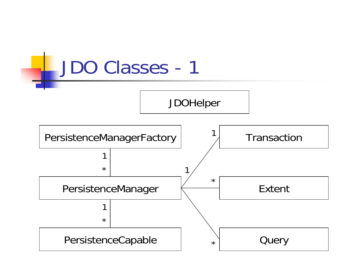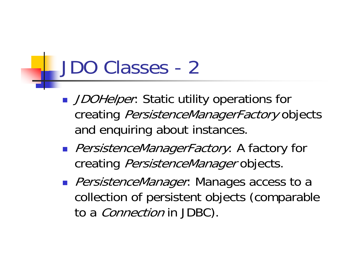#### JDO Classes - 2

- DOHelper: Static utility operations for creating PersistenceManagerFactory objects and enquiring about instances.
- **PersistenceManagerFactory: A factory for** creating *PersistenceManager* objects.
- **PersistenceManager: Manages access to a** collection of persistent objects (comparable to a *Connection* in JDBC).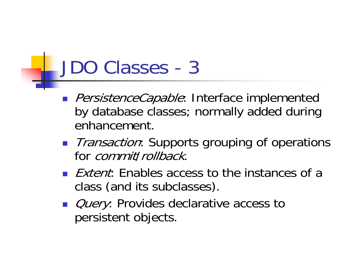#### JDO Classes - 3

- **PersistenceCapable:** Interface implemented by database classes; normally added during enhancement.
- *Transaction*: Supports grouping of operations for *commitl rollback*.
- **Extent:** Enables access to the instances of a class (and its subclasses).
- *Query*: Provides declarative access to persistent objects.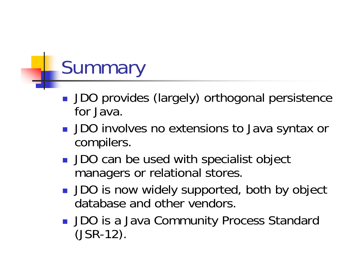# **Summary**

- **JDO provides (largely) orthogonal persistence** for Java.
- **JDO** involves no extensions to Java syntax or compilers.
- **JDO** can be used with specialist object managers or relational stores.
- **JDO** is now widely supported, both by object database and other vendors.
- **JDO** is a Java Community Process Standard (JSR-12).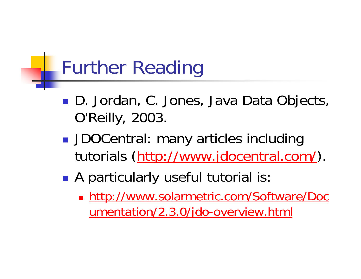## Further Reading

- $\mathbb{R}^3$ ■ D. Jordan, C. Jones, Java Data Objects, O'Reilly, 2003.
- $\mathbb{R}^3$ **JDOCentral: many articles including** tutorials (http://www.jdocentral.com/).
- $\mathbb{R}^3$  A particularly useful tutorial is:
	- **http://www.solarmetric.com/Software/Doc** umentation/2.3.0/jdo-overview.html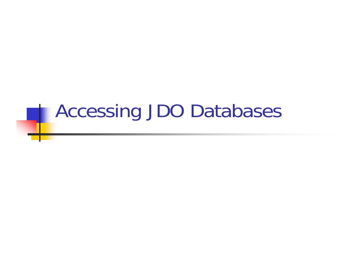#### Accessing JDO Databases

L.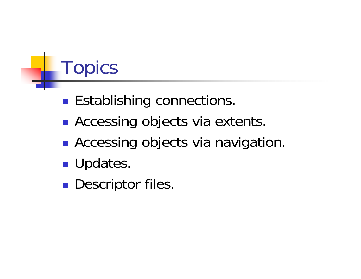# **Topics**

- $\mathbb{R}^3$ **Establishing connections.**
- $\mathbb{R}^3$ **Accessing objects via extents.**
- $\mathbb{R}^3$ **Accessing objects via navigation.**
- $\mathbb{R}^3$ **Updates.**
- $\mathbb{R}^3$ **Descriptor files.**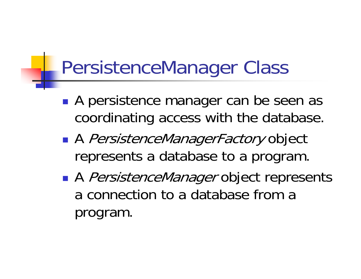#### PersistenceManager Class

- $\mathbb{R}^3$ **A** persistence manager can be seen as coordinating access with the database.
- $\mathbb{R}^3$ ■ A *PersistenceManagerFactory* object represents a database to a program.
- $\mathbb{R}^3$ ■ A *PersistenceManager* object represents a connection to a database from a program.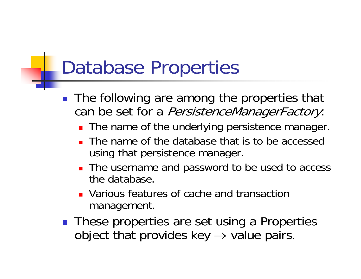### Database Properties

- $\mathbb{R}^2$  The following are among the properties that can be set for a *PersistenceManagerFactory*:
	- **The name of the underlying persistence manager.**
	- **The name of the database that is to be accessed** using that persistence manager.
	- **The username and password to be used to access** the database.
	- **Narious features of cache and transaction** management.
- **These properties are set using a Properties** object that provides key  $\rightarrow$  value pairs.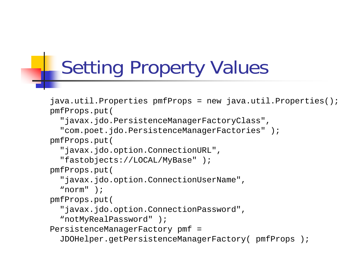## Setting Property Values

```
java.util.Properties pmfProps = new java.util.Properties();
pmfProps.put(
```

```
"javax.jdo.PersistenceManagerFactoryClass",
```

```
"com.poet.jdo.PersistenceManagerFactories" );
```
pmfProps.put(

```
"javax.jdo.option.ConnectionURL",
```

```
"fastobjects://LOCAL/MyBase" );
```
pmfProps.put(

```
"javax.jdo.option.ConnectionUserName",
```

```
"norm" );
```
pmfProps.put(

```
"javax.jdo.option.ConnectionPassword",
```

```
"notMyRealPassword" );
```

```
PersistenceManagerFactory pmf =
```

```
JDOHelper.getPersistenceManagerFactory( pmfProps );
```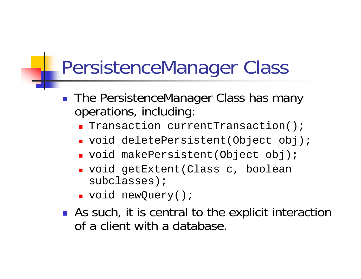#### PersistenceManager Class

- $\mathbb{R}^2$  The PersistenceManager Class has many operations, including:
	- **T**ransaction currentTransaction();
	- void deletePersistent(Object obj);
	- void makePersistent(Object obj);
	- void getExtent(Class c, boolean subclasses);
	- void newQuery();
- **As such, it is central to the explicit interaction** of a client with a database.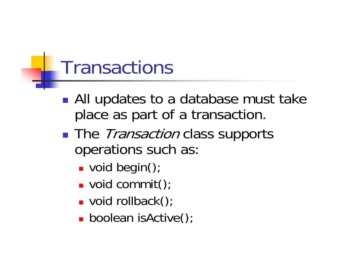#### **Transactions**

- $\mathbb{R}^n$ ■ All updates to a database must take place as part of a transaction.
- $\mathbb{R}^3$ **The** *Transaction* class supports operations such as:
	- **void begin()**;
	- void commit();
	- void rollback();
	- **boolean isActive()**;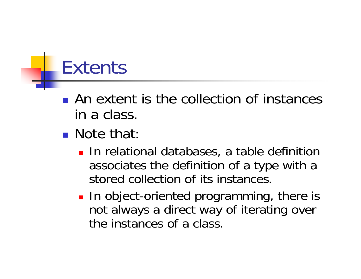## Extents

- **An extent is the collection of instances** in a class.
- **Note that:** 
	- **Iom** In relational databases, a table definition associates the definition of a type with a stored collection of its instances.
	- **In object-oriented programming, there is** not always a direct way of iterating over the instances of a class.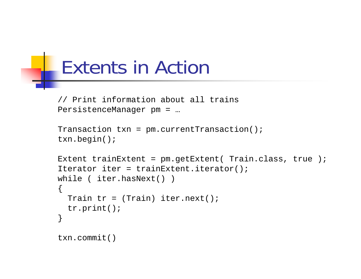#### Extents in Action

```
// Print information about all trains
PersistenceManager pm = …
```

```
Transaction txn = pm.currentTransaction();
txn.begin();
```

```
Extent trainExtent = pm.getExternal (Train.class, true );
Iterator iter = trainExtent.iterator();
while ( iter.hasNext() )
{
  Train tr = (Train) iter.next();
  tr.print();
}
txn.commit()
```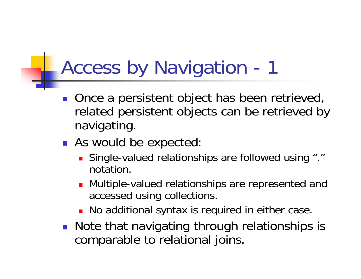## Access by Navigation - 1

- Once a persistent object has been retrieved, related persistent objects can be retrieved by navigating.
- **As would be expected:** 
	- Single-valued relationships are followed using "." notation.
	- **Nultiple-valued relationships are represented and** accessed using collections.
	- **No additional syntax is required in either case.**
- Note that navigating through relationships is comparable to relational joins.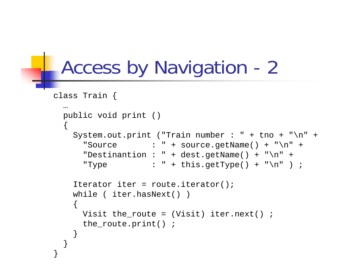## Access by Navigation - 2

```
class Train {
  …public void print ()
  {
    System.out.print ("Train number : " + tno + "\n\times" +
      "Source : " + source.getName() + "\n" +
      "Destinantion : " + dest.getName() + "\n" +
      "Type : " + this.getType() + "\n" ) ;
    Iterator iter = route.iterator();
    while ( iter.hasNext() )
    {
     Visit the_route = (Visit) iter.next() ;
     the_route.print() ;
    }
  }
}
```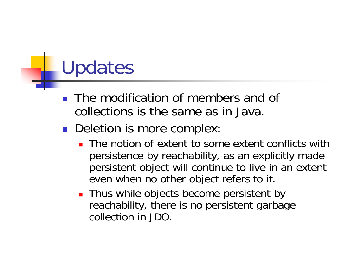## Updates

- $\mathbb{R}^2$  The modification of members and of collections is the same as in Java.
- **Deletion is more complex:** 
	- **The notion of extent to some extent conflicts with** persistence by reachability, as an explicitly made persistent object will continue to live in an extent even when no other object refers to it.
	- **Thus while objects become persistent by** reachability, there is no persistent garbage collection in JDO.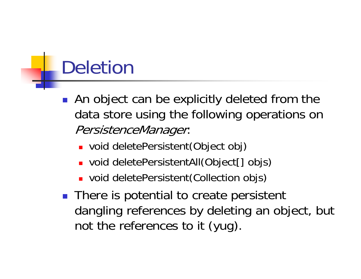## Deletion

- **An object can be explicitly deleted from the** data store using the following operations on PersistenceManager:
	- void deletePersistent(Object obj)
	- void deletePersistentAll(Object[] objs)
	- void deletePersistent(Collection objs)
- **There is potential to create persistent** dangling references by deleting an object, but not the references to it (yug).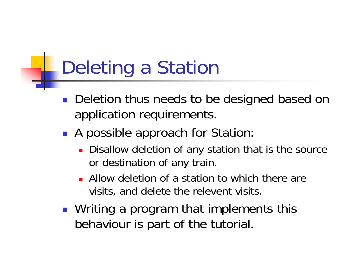## Deleting a Station

- **Deletion thus needs to be designed based on** application requirements.
- A possible approach for Station:
	- **Disallow deletion of any station that is the source** or destination of any train.
	- **Allow deletion of a station to which there are** visits, and delete the relevent visits.
- **Niting a program that implements this** behaviour is part of the tutorial.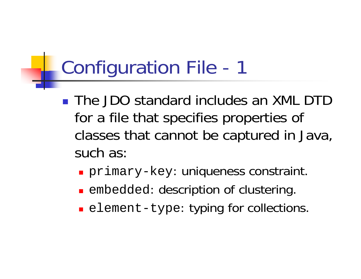## Configuration File - 1

- The JDO standard includes an XML DTD for a file that specifies properties of classes that cannot be captured in Java, such as:
	- primary-key: uniqueness constraint.
	- **Exerciced: description of clustering.**
	- **Example 2** element-type: typing for collections.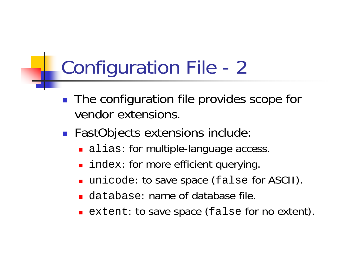### Configuration File - 2

- $\mathcal{L}_{\mathcal{A}}$  The configuration file provides scope for vendor extensions.
- **FastObjects extensions include:** 
	- **alias: for multiple-language access.**
	- **I** index: for more efficient querying.
	- unicode: to save space (false for ASCII).
	- database: name of database file.
	- **Extent: to save space (false for no extent).**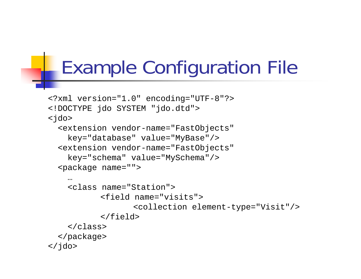### Example Configuration File

```
<?xml version="1.0" encoding="UTF-8"?>
<!DOCTYPE jdo SYSTEM "jdo.dtd">
<jdo>
  <extension vendor-name="FastObjects" 
    key="database" value="MyBase"/>
  <extension vendor-name="FastObjects" 
    key="schema" value="MySchema"/>
  <package name="">
    …<class name="Station"><field name="visits"><collection element-type="Visit"/>
           </field>
    </class>
  </package>
\langle / \daggerdo\rangle
```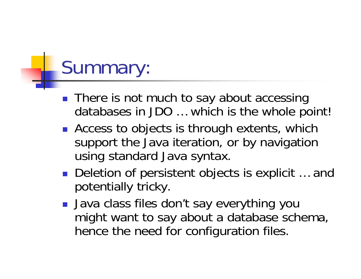## Summary:

- **There is not much to say about accessing** databases in JDO … which is the whole point!
- **Access to objects is through extents, which** support the Java iteration, or by navigation using standard Java syntax.
- Deletion of persistent objects is explicit ... and potentially tricky.
- Java class files don't say everything you might want to say about a database schema, hence the need for configuration files.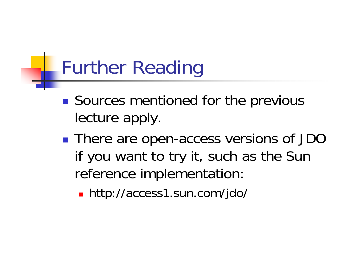## Further Reading

- $\mathbb{R}^3$ **Sources mentioned for the previous** lecture apply.
- $\mathbb{R}^3$ ■ There are open-access versions of JDO if you want to try it, such as the Sun reference implementation:
	- http://access1.sun.com/jdo/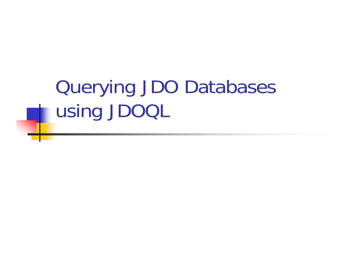## Querying JDO Databases using JDOQL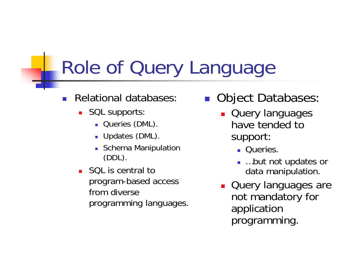## Role of Query Language

- $\overline{\phantom{a}}$  Relational databases:
	- **SQL supports:** 
		- **Queries (DML)**.
		- **Updates (DML)**.
		- **Schema Manipulation** (DDL).
	- SQL is central to program-based access from diverse programming languages.
- $\mathbb{R}^2$  Object Databases:
	- **Query languages** have tended to support:
		- **Queries.**
		- …but not updates or data manipulation.
	- **Query languages are** not mandatory for application programming.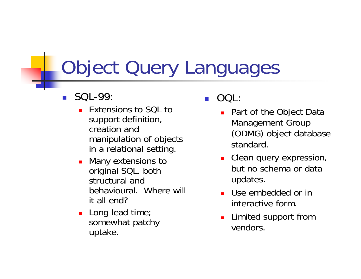## Object Query Languages

- $\overline{\phantom{a}}$  SQL-99:
	- ▛ Extensions to SQL to support definition, creation and manipulation of objects in a relational setting.
	- ▛ Many extensions to original SQL, both structural and behavioural. Where will it all end?
	- $\blacksquare$  Long lead time; somewhat patchy uptake.
- $\overline{\phantom{a}}$  OQL:
	- Part of the Object Data Management Group (ODMG) object database standard.
	- **Clean query expression,** but no schema or data updates.
	- **Use embedded or in** interactive form.
	- **Limited support from** vendors.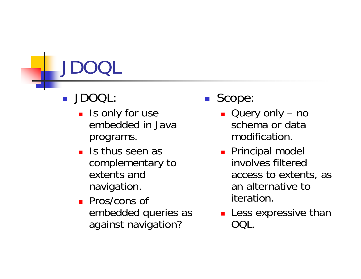# JDOQL

#### $\mathbb{R}^2$ JDOQL:

- **I** Is only for use embedded in Java programs.
- **I** Is thus seen as complementary to extents and navigation.
- **Pros/cons of** embedded queries as against navigation?
- $\mathcal{L}_{\mathrm{eff}}$  Scope:
	- Query only no schema or data modification.
	- **Principal model** involves filtered access to extents, as an alternative to iteration.
	- **Less expressive than** OQL.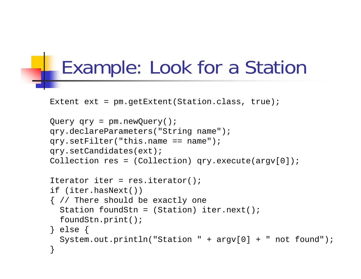#### Example: Look for a Station

```
Extent ext = pm.getExtent(Station.class, true);
```

```
Query qry = pm.newQuery();
qry.declareParameters("String name");
qry.setFilter('this.name == name');qry.setCandidates(ext);
Collection res = (Collection) qry.execute(argv[0]);
Iterator iter = res.iterator();
if (iter.hasNext())
{ // There should be exactly one
  Station foundStn = (Station) iter.next();
  foundStn.print();
} else {
  System.out.println("Station " + argv[0] + " not found");
}
```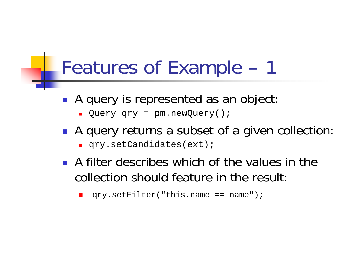#### Features of Example – 1

- A query is represented as an object:
	- ▛ Query qry = pm.newQuery();
- A query returns a subset of a given collection:
	- qry.setCandidates(ext);
- A filter describes which of the values in the collection should feature in the result:

```
The Second
    qry.setFilter("this.name == name");
```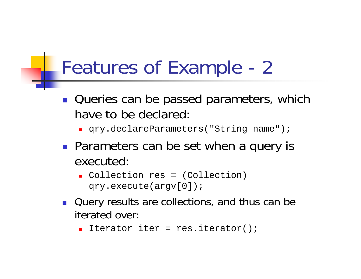### Features of Example - 2

- **Queries can be passed parameters, which** have to be declared:
	- **q**ry.declareParameters("String name");
- **Parameters can be set when a query is** executed:
	- Collection res = (Collection) qry.execute(argv[0]);
- **Query results are collections, and thus can be** iterated over:
	- Iterator iter = res.iterator();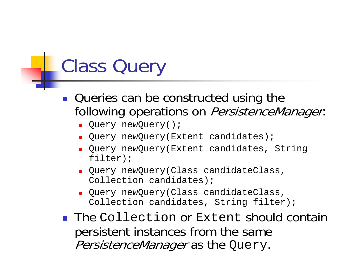## Class Query

- **Queries can be constructed using the** following operations on PersistenceManager.
	- **•** Query newQuery();
	- ▛ Ouery newQuery(Extent candidates);
	- Query newQuery(Extent candidates, String filter);
	- Query newQuery(Class candidateClass, Collection candidates);
	- Query newQuery(Class candidateClass, Collection candidates, String filter);
- **The Collection or Extent should contain** persistent instances from the same PersistenceManager as the Query.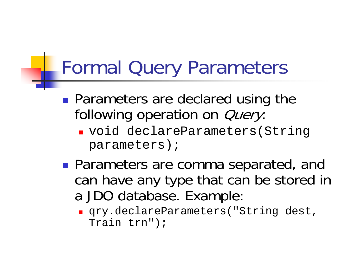### Formal Query Parameters

- $\mathbb{R}^n$ **Parameters are declared using the** following operation on *Query*:
	- void declareParameters(String parameters);
- $\mathbb{R}^3$ **Parameters are comma separated, and** can have any type that can be stored in a JDO database. Example:
	- qry.declareParameters("String dest, Train trn");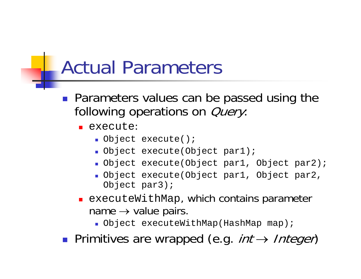#### Actual Parameters

- **Parameters values can be passed using the** following operations on *Query*:
	- execute:
		- Object execute();
		- Object execute(Object par1);
		- Object execute(Object par1, Object par2);
		- Object execute(Object par1, Object par2, Object par3);
	- **EXECUTEWithMap, which contains parameter** name  $\rightarrow$  value pairs.
		- Object executeWithMap(HashMap map);
- Primitives are wrapped (e.g. *int → Integer*)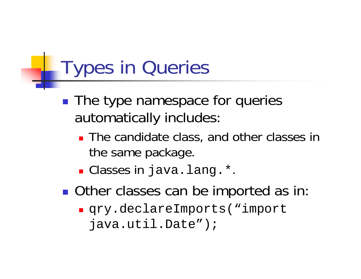#### Types in Queries

- $\mathbb{R}^3$ **The type namespace for queries** automatically includes:
	- **The candidate class, and other classes in** the same package.
	- Classes in java.lang.\*.
- $\mathbb{R}^3$ **Other classes can be imported as in** 
	- qry.declareImports("import java.util.Date");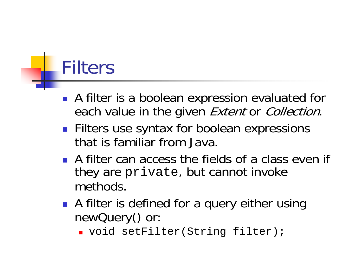# Filters

- A filter is a boolean expression evaluated for each value in the given Extent or Collection.
- **Filters use syntax for boolean expressions** that is familiar from Java.
- **A** filter can access the fields of a class even if they are private, but cannot invoke methods.
- **A** filter is defined for a query either using newQuery() or:
	- void setFilter(String filter);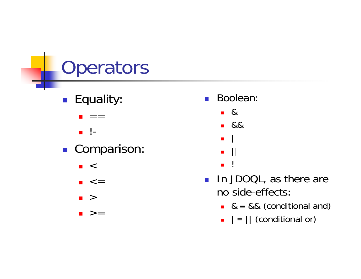## **Operators**

- **Equality** 
	- П **d**  $=$  =
	- **.** !-
- **Comparison**:
	- $\blacksquare$  <
	- <=
	- >
	- >=
- $\sim 1$  Boolean:
	- &
	- &&
	- П | ||
	- $\blacksquare$ !
- $\mathcal{L}^{\text{max}}$  In JDOQL, as there are no side-effects:
	- & <sup>≡</sup> && (conditional and)
	- $\blacksquare$   $\blacksquare$   $\blacksquare$   $\blacksquare$   $\blacksquare$   $\blacksquare$   $\blacksquare$   $\blacksquare$   $\blacksquare$   $\blacksquare$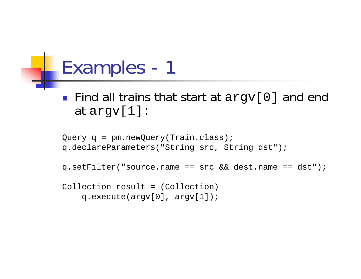#### Examples - 1

■ Find all trains that start at argv[0] and end at argv[1]:

```
Query q = pm.newQuery(Train.class);
q.declareParameters("String src, String dst");
q.setFilter("source.name == src && dest.name == dst");
Collection result = (Collection) 
    q.execute(argv[0], argv[1]);
```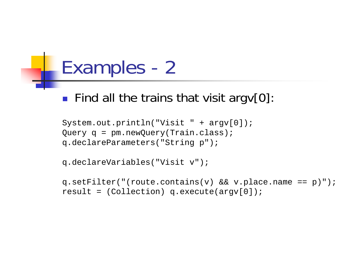#### Examples - 2

#### **Find all the trains that visit argv[0]:**

```
System.out.println("Visit " + argv[0]);
Query q = pm.newQuery(Train.class);
q.declareParameters("String p");
```

```
q.declareVariables("Visit v");
```

```
q.setFilter("(route.contains(v) && v.place.name == p)");
result = (Collection) q.execute(argv[0]);
```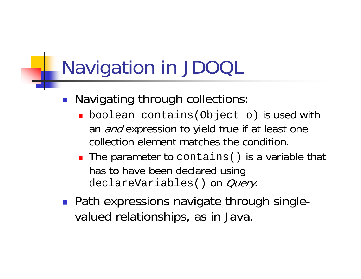# Navigation in JDOQL

- **Navigating through collections** 
	- boolean contains(Object o) is used with an *and* expression to yield true if at least one collection element matches the condition.
	- **The parameter to contains () is a variable that** has to have been declared using declareVariables() on *Query*.
- Path expressions navigate through singlevalued relationships, as in Java.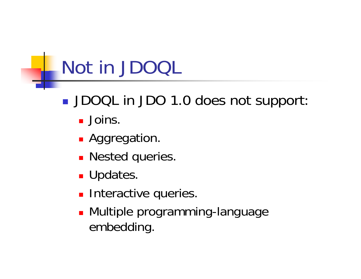## Not in JDOQL

- $\mathbb{R}^3$ DOQL in JDO 1.0 does not support
	- Joins.
	- **Aggregation**
	- **Nested queries.**
	- **Updates.**
	- **Interactive queries.**
	- **Multiple programming-language** embedding.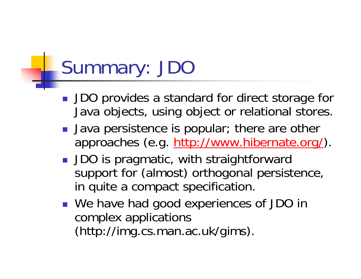# Summary: JDO

- **JDO** provides a standard for direct storage for Java objects, using object or relational stores.
- **Java persistence is popular; there are other** approaches (e.g. http://www.hibernate.org/).
- **JDO** is pragmatic, with straightforward support for (almost) orthogonal persistence, in quite a compact specification.
- We have had good experiences of JDO in complex applications (http://img.cs.man.ac.uk/gims).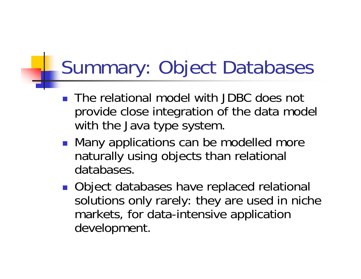### Summary: Object Databases

- **The relational model with JDBC does not** provide close integration of the data model with the Java type system.
- **Many applications can be modelled more** naturally using objects than relational databases.
- **Object databases have replaced relational** solutions only rarely: they are used in niche markets, for data-intensive application development.